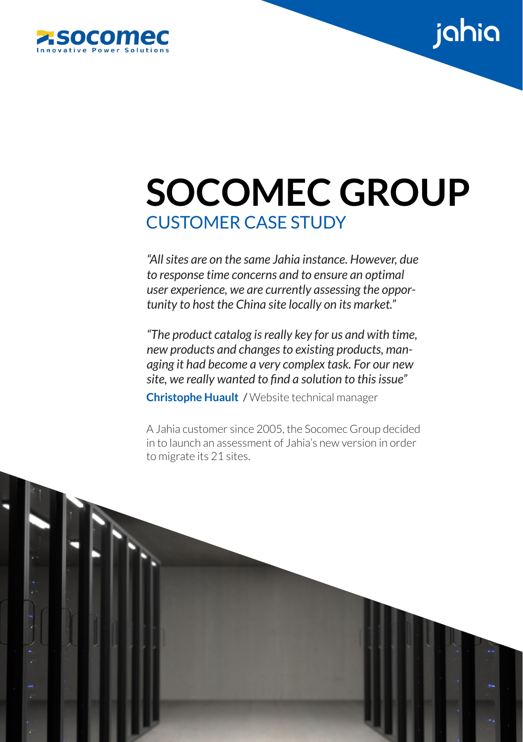



jahia

*"All sites are on the same Jahia instance. However, due to response time concerns and to ensure an optimal user experience, we are currently assessing the opportunity to host the China site locally on its market."*

*"The product catalog is really key for us and with time, new products and changes to existing products, managing it had become a very complex task. For our new site, we really wanted to find a solution to this issue"* **Christophe Huault** / Website technical manager

A Jahia customer since 2005, the Socomec Group decided in to launch an assessment of Jahia's new version in order to migrate its 21 sites.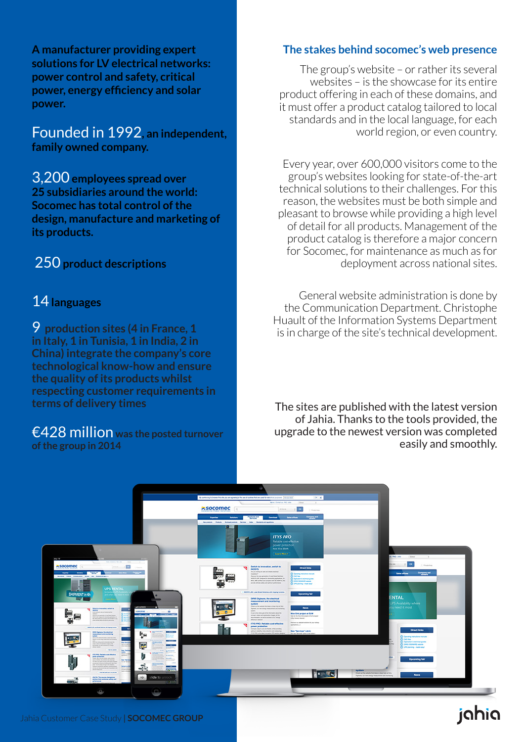**A manufacturer providing expert solutions for LV electrical networks: power control and safety, critical power, energy efficiency and solar power.** 

Founded in 1992**, an independent, family owned company.**

3,200 **employees spread over 25 subsidiaries around the world: Socomec has total control of the design, manufacture and marketing of its products.**

## 250 **product descriptions**

## 14 **languages**

9 **production sites (4 in France, 1 in Italy, 1 in Tunisia, 1 in India, 2 in China) integrate the company's core technological know-how and ensure the quality of its products whilst respecting customer requirements in terms of delivery times**

€428 million **was the posted turnover of the group in 2014**

#### **The stakes behind socomec's web presence**

The group's website – or rather its several websites – is the showcase for its entire product offering in each of these domains, and it must offer a product catalog tailored to local standards and in the local language, for each world region, or even country.

Every year, over 600,000 visitors come to the group's websites looking for state-of-the-art technical solutions to their challenges. For this reason, the websites must be both simple and pleasant to browse while providing a high level of detail for all products. Management of the product catalog is therefore a major concern for Socomec, for maintenance as much as for deployment across national sites.

General website administration is done by the Communication Department. Christophe Huault of the Information Systems Department is in charge of the site's technical development.

The sites are published with the latest version of Jahia. Thanks to the tools provided, the upgrade to the newest version was completed easily and smoothly.

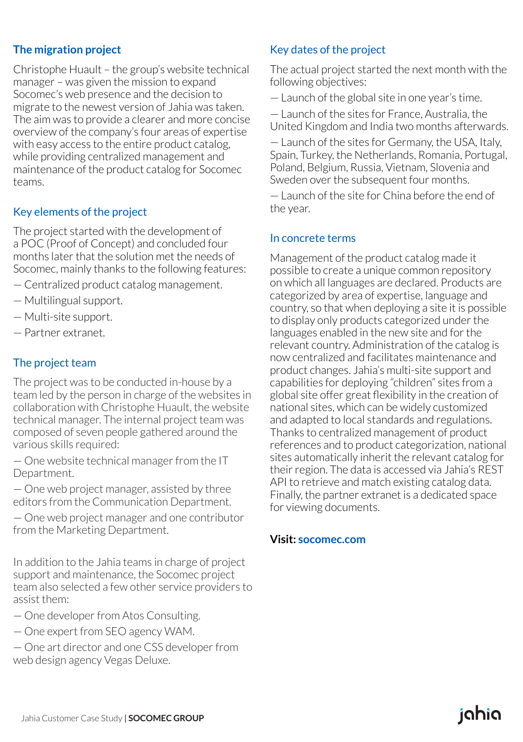#### **The migration project**

Christophe Huault – the group's website technical manager – was given the mission to expand Socomec's web presence and the decision to migrate to the newest version of Jahia was taken. The aim was to provide a clearer and more concise overview of the company's four areas of expertise with easy access to the entire product catalog, while providing centralized management and maintenance of the product catalog for Socomec teams.

#### Key elements of the project

The project started with the development of a POC (Proof of Concept) and concluded four months later that the solution met the needs of Socomec, mainly thanks to the following features:

- Centralized product catalog management.
- Multilingual support.
- Multi-site support.
- Partner extranet.

#### The project team

The project was to be conducted in-house by a team led by the person in charge of the websites in collaboration with Christophe Huault, the website technical manager. The internal project team was composed of seven people gathered around the various skills required:

— One website technical manager from the IT Department.

— One web project manager, assisted by three editors from the Communication Department.

— One web project manager and one contributor from the Marketing Department.

In addition to the Jahia teams in charge of project support and maintenance, the Socomec project team also selected a few other service providers to assist them:

- One developer from Atos Consulting.
- One expert from SEO agency WAM.
- One art director and one CSS developer from web design agency Vegas Deluxe.

#### Key dates of the project

The actual project started the next month with the following objectives:

— Launch of the global site in one year's time.

— Launch of the sites for France, Australia, the United Kingdom and India two months afterwards.

— Launch of the sites for Germany, the USA, Italy, Spain, Turkey, the Netherlands, Romania, Portugal, Poland, Belgium, Russia, Vietnam, Slovenia and Sweden over the subsequent four months.

— Launch of the site for China before the end of the year.

#### In concrete terms

Management of the product catalog made it possible to create a unique common repository on which all languages are declared. Products are categorized by area of expertise, language and country, so that when deploying a site it is possible to display only products categorized under the languages enabled in the new site and for the relevant country. Administration of the catalog is now centralized and facilitates maintenance and product changes. Jahia's multi-site support and capabilities for deploying "children" sites from a global site offer great flexibility in the creation of national sites, which can be widely customized and adapted to local standards and regulations. Thanks to centralized management of product references and to product categorization, national sites automatically inherit the relevant catalog for their region. The data is accessed via Jahia's REST API to retrieve and match existing catalog data. Finally, the partner extranet is a dedicated space for viewing documents.

#### **Visit: socomec.com**